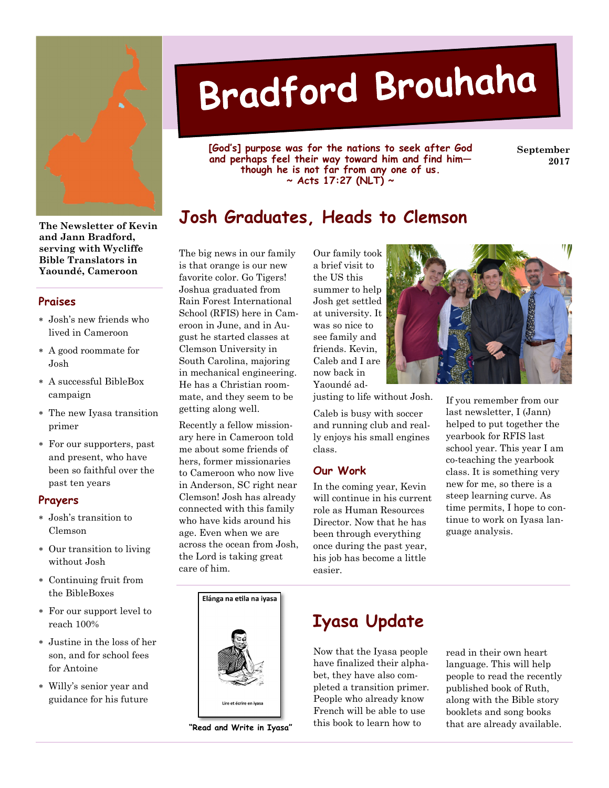

**The Newsletter of Kevin and Jann Bradford, serving with Wycliffe Bible Translators in Yaoundé, Cameroon** 

#### **Praises**

- ∗ Josh's new friends who lived in Cameroon
- ∗ A good roommate for Josh
- ∗ A successful BibleBox campaign
- ∗ The new Iyasa transition primer
- ∗ For our supporters, past and present, who have been so faithful over the past ten years

#### **Prayers**

- ∗ Josh's transition to Clemson
- ∗ Our transition to living without Josh
- ∗ Continuing fruit from the BibleBoxes
- ∗ For our support level to reach 100%
- ∗ Justine in the loss of her son, and for school fees for Antoine
- ∗ Willy's senior year and guidance for his future

# Bradford Brouhaha

**[God's] purpose was for the nations to seek after God and perhaps feel their way toward him and find him though he is not far from any one of us. ~ Acts 17:27 (NLT) ~** 

**September 2017** 

Ш,

# **Josh Graduates, Heads to Clemson**

The big news in our family is that orange is our new favorite color. Go Tigers! Joshua graduated from Rain Forest International School (RFIS) here in Cameroon in June, and in August he started classes at Clemson University in South Carolina, majoring in mechanical engineering. He has a Christian roommate, and they seem to be getting along well.

Recently a fellow missionary here in Cameroon told me about some friends of hers, former missionaries to Cameroon who now live in Anderson, SC right near Clemson! Josh has already connected with this family who have kids around his age. Even when we are across the ocean from Josh, the Lord is taking great care of him.





**"Read and Write in Iyasa"** 

Our family took a brief visit to the US this summer to help Josh get settled at university. It was so nice to see family and friends. Kevin, Caleb and I are now back in Yaoundé ad-

justing to life without Josh.

Caleb is busy with soccer and running club and really enjoys his small engines class.

#### **Our Work**

In the coming year, Kevin will continue in his current role as Human Resources Director. Now that he has been through everything once during the past year, his job has become a little easier.



If you remember from our last newsletter, I (Jann) helped to put together the yearbook for RFIS last school year. This year I am co-teaching the yearbook class. It is something very new for me, so there is a steep learning curve. As time permits, I hope to continue to work on Iyasa language analysis.

# **Iyasa Update**

Now that the Iyasa people have finalized their alphabet, they have also completed a transition primer. People who already know French will be able to use this book to learn how to

read in their own heart language. This will help people to read the recently published book of Ruth, along with the Bible story booklets and song books that are already available.